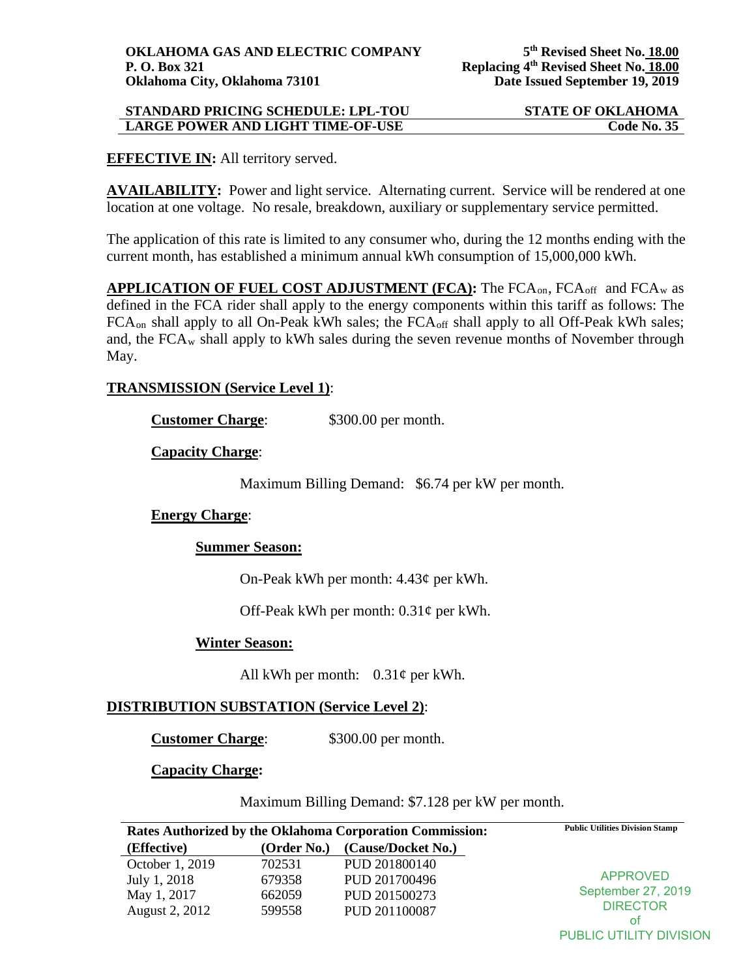## **STANDARD PRICING SCHEDULE: LPL-TOU STATE OF OKLAHOMA LARGE POWER AND LIGHT TIME-OF-USE**  Code No. 35

## **EFFECTIVE IN:** All territory served.

**AVAILABILITY:** Power and light service. Alternating current. Service will be rendered at one location at one voltage. No resale, breakdown, auxiliary or supplementary service permitted.

The application of this rate is limited to any consumer who, during the 12 months ending with the current month, has established a minimum annual kWh consumption of 15,000,000 kWh.

**APPLICATION OF FUEL COST ADJUSTMENT (FCA):** The FCA<sub>on</sub>, FCA<sub>off</sub> and FCA<sub>w</sub> as defined in the FCA rider shall apply to the energy components within this tariff as follows: The FCA<sub>on</sub> shall apply to all On-Peak kWh sales; the FCA<sub>off</sub> shall apply to all Off-Peak kWh sales; and, the  $FCA_w$  shall apply to kWh sales during the seven revenue months of November through May.

## **TRANSMISSION (Service Level 1)**:

**Customer Charge:** \$300.00 per month.

### **Capacity Charge**:

Maximum Billing Demand: \$6.74 per kW per month.

# **Energy Charge**:

### **Summer Season:**

On-Peak kWh per month: 4.43¢ per kWh.

Off-Peak kWh per month: 0.31¢ per kWh.

### **Winter Season:**

All kWh per month:  $0.31\phi$  per kWh.

# **DISTRIBUTION SUBSTATION (Service Level 2)**:

**Customer Charge:** \$300.00 per month.

### **Capacity Charge:**

Maximum Billing Demand: \$7.128 per kW per month.

| Rates Authorized by the Oklahoma Corporation Commission: |             |                    | <b>Public Utilities Division Stamp</b> |
|----------------------------------------------------------|-------------|--------------------|----------------------------------------|
| (Effective)                                              | (Order No.) | (Cause/Docket No.) |                                        |
| October 1, 2019                                          | 702531      | PUD 201800140      | APPROVED<br>September 27, 2019         |
| July 1, 2018                                             | 679358      | PUD 201700496      |                                        |
| May 1, 2017                                              | 662059      | PUD 201500273      |                                        |
| August 2, 2012                                           | 599558      | PUD 201100087      | <b>DIRECTOR</b>                        |
|                                                          |             |                    | οt                                     |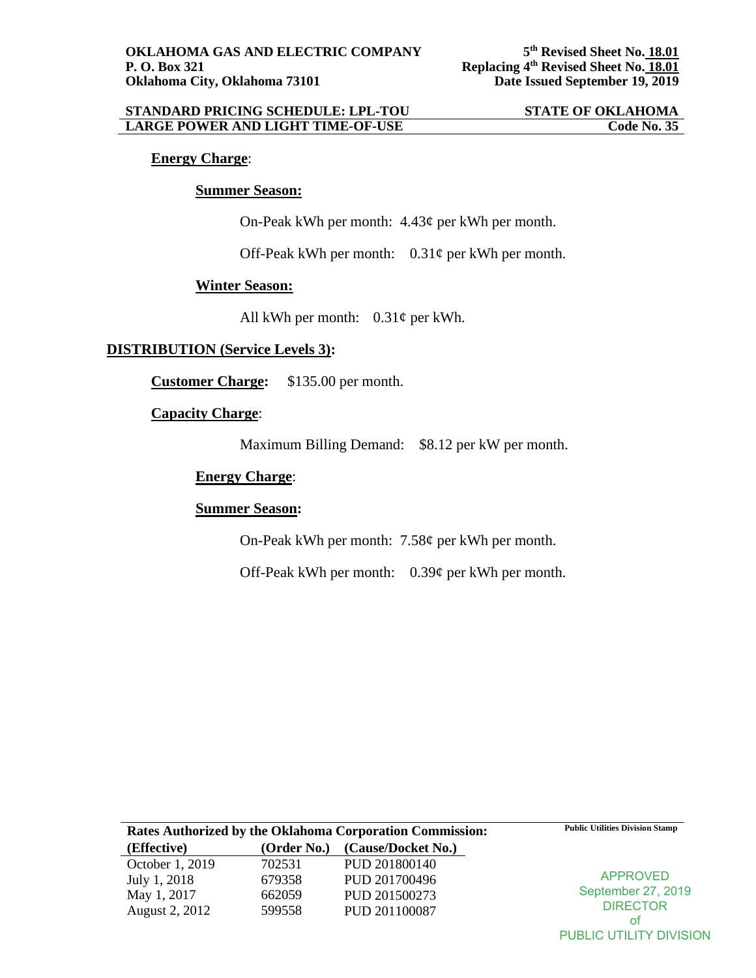### **STANDARD PRICING SCHEDULE: LPL-TOU STATE OF OKLAHOMA**<br>
LARGE POWER AND LIGHT TIME-OF-USE Code No. 35 **LARGE POWER AND LIGHT TIME-OF-USE**

## **Energy Charge**:

### **Summer Season:**

On-Peak kWh per month: 4.43¢ per kWh per month.

Off-Peak kWh per month: 0.31¢ per kWh per month.

## **Winter Season:**

All kWh per month:  $0.31\phi$  per kWh.

## **DISTRIBUTION (Service Levels 3):**

**Customer Charge:** \$135.00 per month.

## **Capacity Charge**:

Maximum Billing Demand: \$8.12 per kW per month.

# **Energy Charge**:

## **Summer Season:**

On-Peak kWh per month: 7.58¢ per kWh per month.

Off-Peak kWh per month: 0.39¢ per kWh per month.

| <b>Rates Authorized by the Oklahoma Corporation Commission:</b> |             |                    | <b>Public Utilities Division Stamp</b> |
|-----------------------------------------------------------------|-------------|--------------------|----------------------------------------|
| (Effective)                                                     | (Order No.) | (Cause/Docket No.) |                                        |
| October 1, 2019                                                 | 702531      | PUD 201800140      |                                        |
| July 1, 2018                                                    | 679358      | PUD 201700496      | <b>APPROVED</b><br>September 27, 2019  |
| May 1, 2017                                                     | 662059      | PUD 201500273      |                                        |
| August 2, 2012                                                  | 599558      | PUD 201100087      | <b>DIRECTOR</b>                        |
|                                                                 |             |                    | Οt                                     |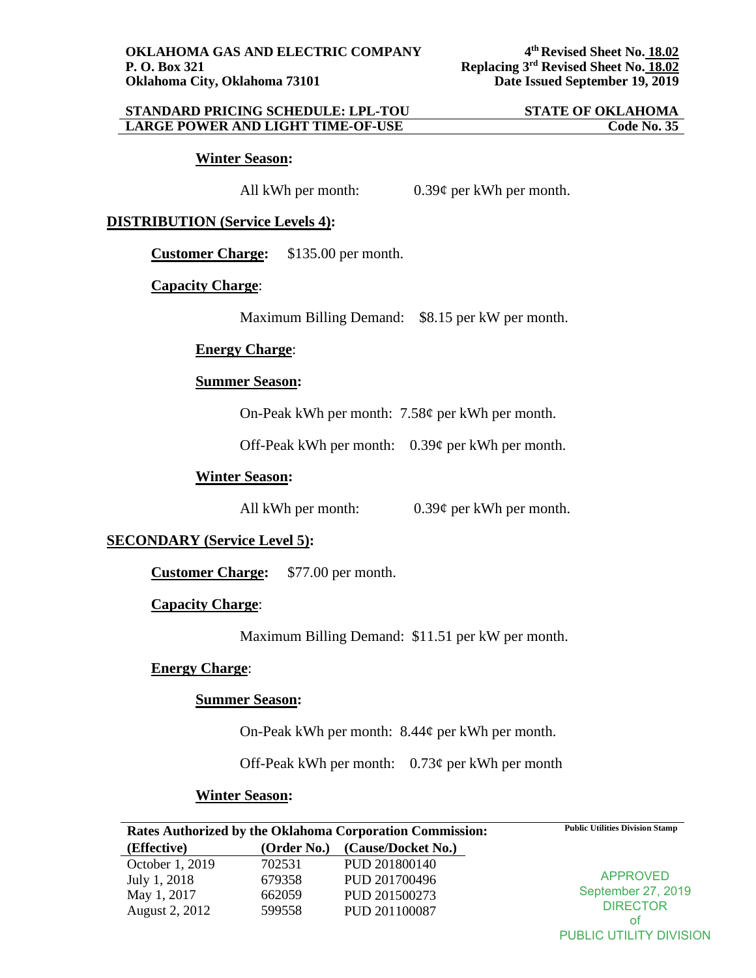### **STANDARD PRICING SCHEDULE: LPL-TOU STATE OF OKLAHOMA LARGE POWER AND LIGHT TIME-OF-USE**

#### **Winter Season:**

All kWh per month: 0.39¢ per kWh per month.

### **DISTRIBUTION (Service Levels 4):**

**Customer Charge:** \$135.00 per month.

## **Capacity Charge**:

Maximum Billing Demand: \$8.15 per kW per month.

# **Energy Charge**:

## **Summer Season:**

On-Peak kWh per month: 7.58¢ per kWh per month.

Off-Peak kWh per month: 0.39¢ per kWh per month.

## **Winter Season:**

All kWh per month: 0.39¢ per kWh per month.

### **SECONDARY (Service Level 5):**

**Customer Charge:** \$77.00 per month.

### **Capacity Charge**:

Maximum Billing Demand: \$11.51 per kW per month.

### **Energy Charge**:

## **Summer Season:**

On-Peak kWh per month: 8.44¢ per kWh per month.

Off-Peak kWh per month:  $0.73\phi$  per kWh per month

### **Winter Season:**

| Rates Authorized by the Oklahoma Corporation Commission: |                         |                    | <b>Public Utilities Division Stamp</b>                   |
|----------------------------------------------------------|-------------------------|--------------------|----------------------------------------------------------|
| (Effective)                                              | (Order No.)             | (Cause/Docket No.) |                                                          |
| October 1, 2019                                          | 702531                  | PUD 201800140      | <b>APPROVED</b><br>September 27, 2019<br><b>DIRECTOR</b> |
| July 1, 2018                                             | 679358                  | PUD 201700496      |                                                          |
| May 1, 2017                                              | 662059                  | PUD 201500273      |                                                          |
| August 2, 2012                                           | 599558<br>PUD 201100087 |                    |                                                          |
|                                                          |                         |                    | οt                                                       |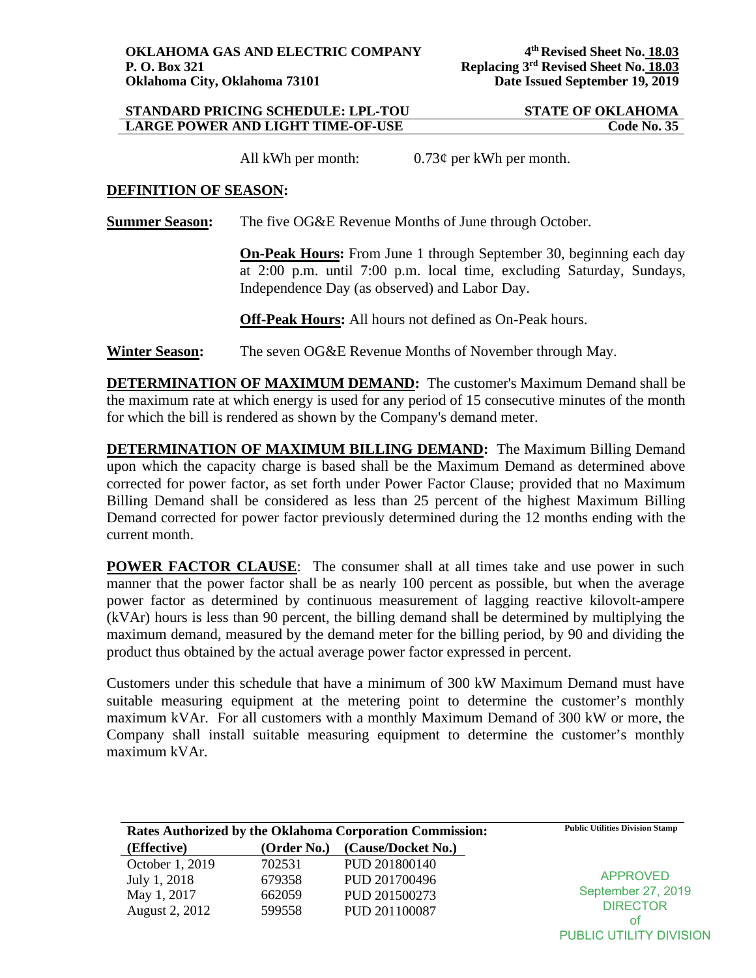## **STANDARD PRICING SCHEDULE: LPL-TOU STATE OF OKLAHOMA LARGE POWER AND LIGHT TIME-OF-USE**

All kWh per month:  $0.73¢$  per kWh per month.

### **DEFINITION OF SEASON:**

**Summer Season:** The five OG&E Revenue Months of June through October.

**On-Peak Hours:** From June 1 through September 30, beginning each day at 2:00 p.m. until 7:00 p.m. local time, excluding Saturday, Sundays, Independence Day (as observed) and Labor Day.

**Off-Peak Hours:** All hours not defined as On-Peak hours.

**Winter Season:** The seven OG&E Revenue Months of November through May.

**DETERMINATION OF MAXIMUM DEMAND:** The customer's Maximum Demand shall be the maximum rate at which energy is used for any period of 15 consecutive minutes of the month for which the bill is rendered as shown by the Company's demand meter.

**DETERMINATION OF MAXIMUM BILLING DEMAND:** The Maximum Billing Demand upon which the capacity charge is based shall be the Maximum Demand as determined above corrected for power factor, as set forth under Power Factor Clause; provided that no Maximum Billing Demand shall be considered as less than 25 percent of the highest Maximum Billing Demand corrected for power factor previously determined during the 12 months ending with the current month.

**POWER FACTOR CLAUSE:** The consumer shall at all times take and use power in such manner that the power factor shall be as nearly 100 percent as possible, but when the average power factor as determined by continuous measurement of lagging reactive kilovolt-ampere (kVAr) hours is less than 90 percent, the billing demand shall be determined by multiplying the maximum demand, measured by the demand meter for the billing period, by 90 and dividing the product thus obtained by the actual average power factor expressed in percent.

Customers under this schedule that have a minimum of 300 kW Maximum Demand must have suitable measuring equipment at the metering point to determine the customer's monthly maximum kVAr. For all customers with a monthly Maximum Demand of 300 kW or more, the Company shall install suitable measuring equipment to determine the customer's monthly maximum kVAr.

| <b>Rates Authorized by the Oklahoma Corporation Commission:</b> |             |                    | <b>Public Utilities Division Stamp</b> |
|-----------------------------------------------------------------|-------------|--------------------|----------------------------------------|
| (Effective)                                                     | (Order No.) | (Cause/Docket No.) |                                        |
| October 1, 2019                                                 | 702531      | PUD 201800140      | <b>APPROVED</b>                        |
| July 1, 2018                                                    | 679358      | PUD 201700496      |                                        |
| May 1, 2017                                                     | 662059      | PUD 201500273      | September 27, 2019                     |
| August 2, 2012                                                  | 599558      | PUD 201100087      | <b>DIRECTOR</b>                        |
|                                                                 |             |                    | οt                                     |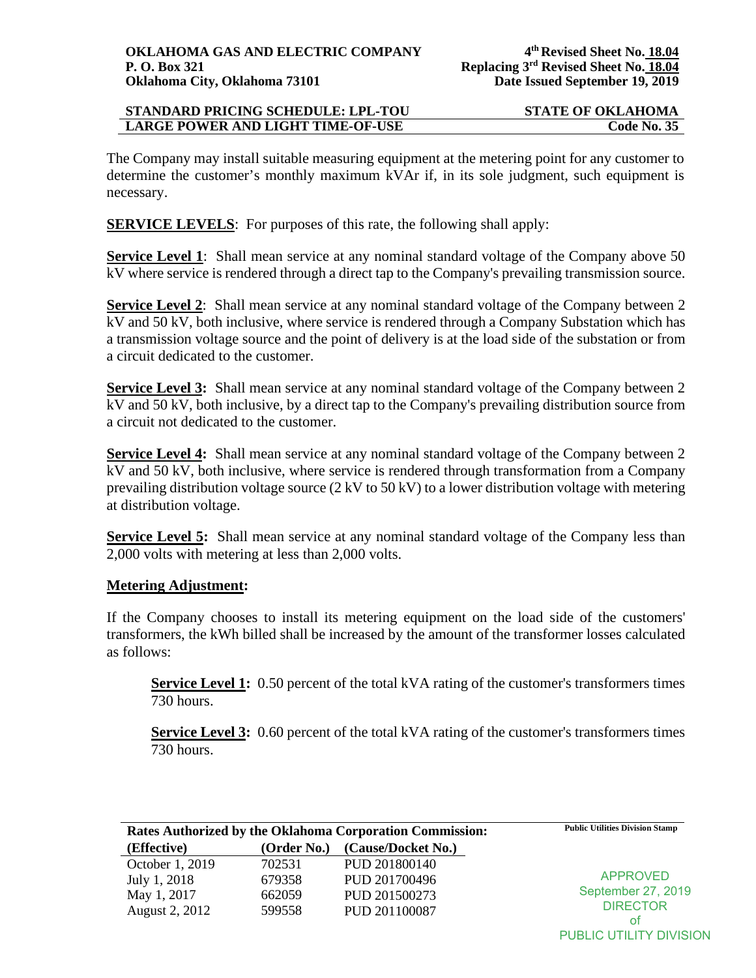## **STANDARD PRICING SCHEDULE: LPL-TOU STATE OF OKLAHOMA LARGE POWER AND LIGHT TIME-OF-USE Code No. 35**

The Company may install suitable measuring equipment at the metering point for any customer to determine the customer's monthly maximum kVAr if, in its sole judgment, such equipment is necessary.

**SERVICE LEVELS:** For purposes of this rate, the following shall apply:

**Service Level 1**: Shall mean service at any nominal standard voltage of the Company above 50 kV where service is rendered through a direct tap to the Company's prevailing transmission source.

**Service Level 2:** Shall mean service at any nominal standard voltage of the Company between 2 kV and 50 kV, both inclusive, where service is rendered through a Company Substation which has a transmission voltage source and the point of delivery is at the load side of the substation or from a circuit dedicated to the customer.

**Service Level 3:** Shall mean service at any nominal standard voltage of the Company between 2 kV and 50 kV, both inclusive, by a direct tap to the Company's prevailing distribution source from a circuit not dedicated to the customer.

**Service Level 4:** Shall mean service at any nominal standard voltage of the Company between 2 kV and 50 kV, both inclusive, where service is rendered through transformation from a Company prevailing distribution voltage source (2 kV to 50 kV) to a lower distribution voltage with metering at distribution voltage.

**Service Level 5:** Shall mean service at any nominal standard voltage of the Company less than 2,000 volts with metering at less than 2,000 volts.

# **Metering Adjustment:**

If the Company chooses to install its metering equipment on the load side of the customers' transformers, the kWh billed shall be increased by the amount of the transformer losses calculated as follows:

**Service Level 1:** 0.50 percent of the total kVA rating of the customer's transformers times 730 hours.

**Service Level 3:** 0.60 percent of the total kVA rating of the customer's transformers times 730 hours.

| <b>Rates Authorized by the Oklahoma Corporation Commission:</b> |             |                    | <b>Public Utilities Division Stamp</b> |
|-----------------------------------------------------------------|-------------|--------------------|----------------------------------------|
| (Effective)                                                     | (Order No.) | (Cause/Docket No.) |                                        |
| October 1, 2019                                                 | 702531      | PUD 201800140      | APPROVED<br>September 27, 2019         |
| July 1, 2018                                                    | 679358      | PUD 201700496      |                                        |
| May 1, 2017                                                     | 662059      | PUD 201500273      |                                        |
| August 2, 2012                                                  | 599558      | PUD 201100087      | <b>DIRECTOR</b>                        |
|                                                                 |             |                    | οt                                     |